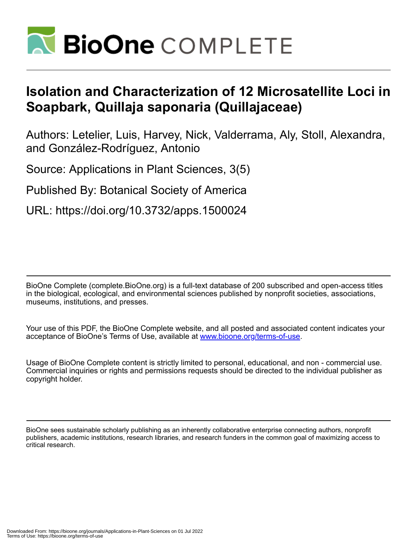

# **Isolation and Characterization of 12 Microsatellite Loci in Soapbark, Quillaja saponaria (Quillajaceae)**

Authors: Letelier, Luis, Harvey, Nick, Valderrama, Aly, Stoll, Alexandra, and González-Rodríguez, Antonio

Source: Applications in Plant Sciences, 3(5)

Published By: Botanical Society of America

URL: https://doi.org/10.3732/apps.1500024

BioOne Complete (complete.BioOne.org) is a full-text database of 200 subscribed and open-access titles in the biological, ecological, and environmental sciences published by nonprofit societies, associations, museums, institutions, and presses.

Your use of this PDF, the BioOne Complete website, and all posted and associated content indicates your acceptance of BioOne's Terms of Use, available at www.bioone.org/terms-of-use.

Usage of BioOne Complete content is strictly limited to personal, educational, and non - commercial use. Commercial inquiries or rights and permissions requests should be directed to the individual publisher as copyright holder.

BioOne sees sustainable scholarly publishing as an inherently collaborative enterprise connecting authors, nonprofit publishers, academic institutions, research libraries, and research funders in the common goal of maximizing access to critical research.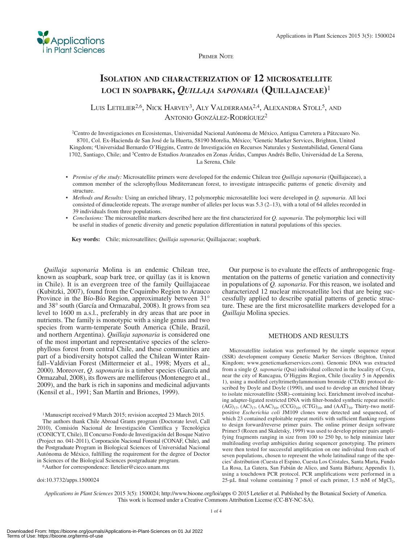

PRIMER NOTE

## **ISOLATION AND CHARACTERIZATION OF 12 MICROSATELLITE LOCI IN SOAPBARK,** *QUILLAJA SAPONARIA* **(QUILLAJACEAE)** <sup>1</sup>

LUIS LETELIER<sup>2,6</sup>, NICK HARVEY<sup>3</sup>, ALY VALDERRAMA<sup>2,4</sup>, ALEXANDRA STOLL<sup>5</sup>, AND ANTONIO GONZÁLEZ-RODRÍGUEZ<sup>2</sup>

<sup>2</sup> Centro de Investigaciones en Ecosistemas, Universidad Nacional Autónoma de México, Antigua Carretera a Pátzcuaro No. 8701, Col. Ex-Hacienda de San José de la Huerta, 58190 Morelia, México; 3 Genetic Marker Services, Brighton, United Kingdom; 4 Universidad Bernardo O'Higgins, Centro de Investigación en Recursos Naturales y Sustentabilidad, General Gana 1702, Santiago, Chile; and <sup>5</sup> Centro de Estudios Avanzados en Zonas Áridas, Campus Andrés Bello, Universidad de La Serena, La Serena, Chile

- *Premise of the study:* Microsatellite primers were developed for the endemic Chilean tree *Quillaja saponaria* (Quillajaceae), a common member of the sclerophyllous Mediterranean forest, to investigate intraspecific patterns of genetic diversity and structure.
- *Methods and Results:* Using an enriched library, 12 polymorphic microsatellite loci were developed in *Q. saponaria* . All loci consisted of dinucleotide repeats. The average number of alleles per locus was  $5.3$  (2–13), with a total of 64 alleles recorded in 39 individuals from three populations.
- *Conclusions:* The microsatellite markers described here are the first characterized for *Q. saponaria*. The polymorphic loci will be useful in studies of genetic diversity and genetic population differentiation in natural populations of this species.

 **Key words:** Chile; microsatellites; *Quillaja saponaria* ; Quillajaceae; soapbark.

*Quillaja saponaria* Molina is an endemic Chilean tree, known as soapbark, soap bark tree, or quillay (as it is known in Chile). It is an evergreen tree of the family Quillajaceae (Kubitzki, 2007), found from the Coquimbo Region to Arauco Province in the Bío-Bío Region, approximately between 31<sup>°</sup> and 38° south (García and Ormazabal, 2008). It grows from sea level to 1600 m a.s.l., preferably in dry areas that are poor in nutrients. The family is monotypic with a single genus and two species from warm-temperate South America (Chile, Brazil, and northern Argentina). *Quillaja saponaria* is considered one of the most important and representative species of the sclerophyllous forest from central Chile, and these communities are part of a biodiversity hotspot called the Chilean Winter Rainfall–Valdivian Forest (Mittermeier et al., 1998; Myers et al., 2000). Moreover, *Q. saponaria* is a timber species (García and Ormazabal, 2008), its flowers are melliferous (Montenegro et al., 2009 ), and the bark is rich in saponins and medicinal adjuvants ( Kensil et al., 1991; San Martín and Briones, 1999).

1 Manuscript received 9 March 2015; revision accepted 23 March 2015.

 The authors thank Chile Abroad Grants program (Doctorate level, Call 2010), Comisión Nacional de Investigación Científica y Tecnológica (CONICYT , Chile), II Concurso Fondo de Investigación del Bosque Nativo (Project no. 041-2011), Corporación Nacional Forestal (CONAF, Chile), and the Postgraduate Program in Biological Sciences of Universidad Nacional Autónoma de México, fulfilling the requirement for the degree of Doctor in Sciences of the Biological Sciences postgraduate program. 6 Author for correspondence: lletelier@cieco.unam.mx

doi:10.3732/apps.1500024

 Our purpose is to evaluate the effects of anthropogenic fragmentation on the patterns of genetic variation and connectivity in populations of *Q. saponaria* . For this reason, we isolated and characterized 12 nuclear microsatellite loci that are being successfully applied to describe spatial patterns of genetic structure. These are the first microsatellite markers developed for a *Quillaja* Molina species .

#### METHODS AND RESULTS

 Microsatellite isolation was performed by the simple sequence repeat (SSR) development company Genetic Marker Services (Brighton, United Kingdom; www.geneticmarkerservices.com). Genomic DNA was extracted from a single *Q. saponaria* (Qsa) individual collected in the locality of Coya, near the city of Rancagua, O'Higgins Region, Chile (locality 5 in Appendix 1), using a modified cetyltrimethylammonium bromide (CTAB) protocol described by Doyle and Doyle (1990), and used to develop an enriched library to isolate microsatellite (SSR)–containing loci. Enrichment involved incubating adapter-ligated restricted DNA with filter-bonded synthetic repeat motifs:  $(AG)_{17}$ ,  $(AC)_{17}$ ,  $(AAC)_{10}$ ,  $(CCG)_{10}$ ,  $(TG)_{10}$ , and  $(AAT)_{10}$ . Thirty-two motifpositive *Escherichia coli* JM109 clones were detected and sequenced, of which 23 contained exploitable repeat motifs with sufficient flanking regions to design forward/reverse primer pairs. The online primer design software Primer3 (Rozen and Skaletsky, 1999) was used to develop primer pairs amplifying fragments ranging in size from 100 to 250 bp, to help minimize later multiloading overlap ambiguities during sequencer genotyping. The primers were then tested for successful amplification on one individual from each of seven populations, chosen to represent the whole latitudinal range of the species' distribution (Cuesta el Espino, Cuesta Los Cristales, Santa Marta, Fundo La Rosa, La Gatera, San Fabián de Alico, and Santa Bárbara; Appendix 1), using a touchdown PCR protocol. PCR amplifications were performed in a 25-μL final volume containing 7 pmol of each primer, 1.5 mM of  $MgCl<sub>2</sub>$ ,

*Applications in Plant Sciences* 2015 3(5): 1500024; http://www.bioone.org/loi/apps © 2015 Letelier et al. Published by the Botanical Society of America. This work is licensed under a Creative Commons Attribution License (CC-BY-NC-SA).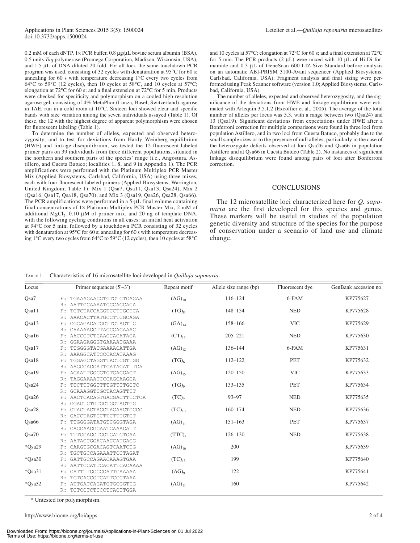0.2 mM of each dNTP,  $1 \times$  PCR buffer, 0.8  $\mu$ g/ $\mu$ L bovine serum albumin (BSA), 0.5 units *Taq* polymerase (Promega Corporation, Madison, Wisconsin, USA), and 1.5 μL of DNA diluted 20-fold. For all loci, the same touchdown PCR program was used, consisting of 32 cycles with denaturation at  $95^{\circ}$ C for 60 s; annealing for 60 s with temperature decreasing  $1^{\circ}$ C every two cycles from 64 $\rm ^{o}C$  to 59 $\rm ^{o}C$  (12 cycles), then 10 cycles at 58 $\rm ^{o}C$ , and 10 cycles at 57 $\rm ^{o}C$ ; elongation at 72 $^{\circ}$ C for 60 s; and a final extension at 72 $^{\circ}$ C for 5 min. Products were checked for specificity and polymorphism on a cooled high-resolution agarose gel, consisting of 4% MetaPhor (Lonza, Basel, Switzerland) agarose in TAE, run in a cold room at  $10^{\circ}$ C. Sixteen loci showed clear and specific bands with size variation among the seven individuals assayed (Table 1). Of these, the 12 with the highest degree of apparent polymorphism were chosen for fluorescent labeling (Table 1).

 To determine the number of alleles, expected and observed heterozygosity, and to test for deviations from Hardy–Weinberg equilibrium (HWE) and linkage disequilibrium, we tested the 12 fluorescent-labeled primer pairs on 39 individuals from three different populations, situated in the northern and southern parts of the species' range (i.e., Angostura, Astillero, and Cuesta Batuco; localities 1, 8, and 9 in Appendix 1). The PCR amplifications were performed with the Platinum Multiplex PCR Master Mix (Applied Biosystems, Carlsbad, California, USA) using three mixes, each with four fluorescent-labeled primers (Applied Biosystems, Warrington, United Kingdom; Table 1): Mix 1 (Qsa7, Qsa11, Qsa13, Qsa24), Mix 2 (Qsa16, Qsa17, Qsa18, Qsa70), and Mix 3 (Qsa19, Qsa26, Qsa28, Qsa66). The PCR amplifications were performed in a 5-μL final volume containing final concentrations of  $1 \times$  Platinum Multiplex PCR Master Mix, 2 mM of additional MgCl<sub>2</sub>, 0.10  $\mu$ M of primer mix, and 20 ng of template DNA, with the following cycling conditions in all cases: an initial heat activation at 94°C for 5 min; followed by a touchdown PCR consisting of 32 cycles with denaturation at  $95^{\circ}$ C for 60 s; annealing for 60 s with temperature decreasing 1°C every two cycles from 64°C to 59°C (12 cycles), then 10 cycles at 58°C

and 10 cycles at 57°C; elongation at 72°C for 60 s; and a final extension at 72°C for 5 min. The PCR products  $(2 \mu L)$  were mixed with 10  $\mu L$  of Hi-Di formamide and 0.3 μL of GeneScan 600 LIZ Size Standard before analysis on an automatic ABI-PRISM 3100-Avant sequencer (Applied Biosystems, Carlsbad, California, USA). Fragment analysis and final sizing were performed using Peak Scanner software (version 1.0; Applied Biosystems, Carlsbad, California, USA).

 The number of alleles, expected and observed heterozygosity, and the significance of the deviations from HWE and linkage equilibrium were estimated with Arlequin  $3.5.1.2$  (Excoffier et al., 2005). The average of the total number of alleles per locus was 5.3, with a range between two (Qsa24) and 13 (Qsa19). Significant deviations from expectations under HWE after a Bonferroni correction for multiple comparisons were found in three loci from population Astillero, and in two loci from Cuesta Batuco, probably due to the small sample sizes or to the presence of null alleles, particularly in the case of the heterozygote deficits observed at loci Qsa26 and Qsa66 in population Astillero and at Qsa66 in Cuesta Batuco (Table 2). No instances of significant linkage disequilibrium were found among pairs of loci after Bonferroni correction.

#### **CONCLUSIONS**

 The 12 microsatellite loci characterized here for *Q. saponaria* are the first developed for this species and genus. These markers will be useful in studies of the population genetic diversity and structure of the species for the purpose of conservation under a scenario of land use and climate change.

TABLE 1. Characteristics of 16 microsatellite loci developed in *Quillaja saponaria* .

| Locus             |       | Primer sequences $(5'–3')$ | Repeat motif                         | Allele size range (bp) | Fluorescent dye | GenBank accession no. |
|-------------------|-------|----------------------------|--------------------------------------|------------------------|-----------------|-----------------------|
| Qsa7              | F:    | TGAAAGAACGTGTGTGTGAGAA     | $(AG)_{10}$                          | $116 - 124$            | 6-FAM           | KP775627              |
|                   | R:    | AATTCCAAAATGCCAGCAGA       |                                      |                        |                 |                       |
| Qsa11             | $F$ : | TCTCTACCAGGTCCTTGCTCA      | $(TG)_{8}$                           | 148-154                | <b>NED</b>      | KP775628              |
|                   | R:    | AAACACTTATGCCTTCGCAGA      |                                      |                        |                 |                       |
| Qsa13             | F:    | CGCAGACATGCTTCTAGTTC       | $(GA)_{14}$                          | 158-166                | <b>VIC</b>      | KP775629              |
|                   | R:    | CAAAAAGCTTAGCGACAAAC       |                                      |                        |                 |                       |
| Qsa16             | F:    | AACCGTCTCAACCACATACA       | $(CT)_{15}$                          | $205 - 221$            | <b>NED</b>      | KP775630              |
|                   | R:    | GGAAGAGGGTGAAAATGAAA       |                                      |                        |                 |                       |
| Qsa17             | F:    | TTGGGGTATGAAAACATTGA       | $(AG)_{12}$                          | 136-144                | 6-FAM           | KP775631              |
|                   | R:    | AAAGGCATTCCCACATAAAG       |                                      |                        |                 |                       |
| Qsa18             | F:    | TGGAGCTAGGTTACTCGTTGG      | $(TG)_{6}$                           | $112 - 122$            | <b>PET</b>      | KP775632              |
|                   | R:    | AAGCCACGATTCATACATTTCA     |                                      |                        |                 |                       |
| Qsa19             | F:    | AGAATTGGGGTGTGAGGACT       | $(AG)_{15}$                          | $120 - 150$            | <b>VIC</b>      | KP775633              |
|                   | R:    | TAGGAAAATCCCAGCAAGCA       |                                      |                        |                 |                       |
| Qsa24             | F:    | TTCTTTGGTTTTGTTTTGCTC      | $(TG)$ <sup>o</sup>                  | 133-135                | PET             | KP775634              |
|                   | R:    | GCAAAGGTCGCTACAGTTTT       |                                      |                        |                 |                       |
| Qsa26             | F:    | AACTCACAGTGACGACTTTCTCA    | $(TC)$ <sup><math>\circ</math></sup> | $93 - 97$              | <b>NED</b>      | KP775635              |
|                   | R:    | GGAGTCTGTGCTGGTAGTGG       |                                      |                        |                 |                       |
| Osa <sub>28</sub> | F:    | GTACTACTAGCTAGAACTCCCC     | $(TC)_{10}$                          | $160 - 174$            | <b>NED</b>      | KP775636              |
|                   | R:    | GACCTAGTCCTTCTTTGTGT       |                                      |                        |                 |                       |
| Qsa66             | F:    | TTGGGGATATGTCGGGTAGA       | $(AG)_{11}$                          | $151 - 163$            | PET             | KP775637              |
|                   | R:    | CACCAACGCAATCAAACATT       |                                      |                        |                 |                       |
| Osa70             | F:    | TTTGGAGCTGGTGATGTGAA       | $(TTC)_{8}$                          | $126 - 130$            | <b>NED</b>      | KP775638              |
|                   | R:    | AATACCGGACAACCATGAGG       |                                      |                        |                 |                       |
| *Qsa29            | F:    | CAAGTGCGACAGTCAATCTG       | $(AG)_{16}$                          | 200                    |                 | KP775639              |
|                   | R:    | TGCTGCCAGAAATTCCTAGAT      |                                      |                        |                 |                       |
| *Osa30            | F:    | GATTGCCAGAACAAAGTGAA       | $(TC)_{13}$                          | 199                    |                 | KP775640              |
|                   | R:    | AATTCCATTCACATTCACAAAA     |                                      |                        |                 |                       |
| *Qsa31            | F:    | GATTTTGGGCGATTGAAAAA       | $(AG)_{9}$                           | 122                    |                 | KP775641              |
|                   | R:    | TGTCACCGTCATTCGCTAAA       |                                      |                        |                 |                       |
| $*Osa32$          | F÷.   | ATTGATCAGATGTGCGGTTG       | $(AG)_{11}$                          | 160                    |                 | KP775642              |
|                   | R:    | TCTCCTCTCCCTCACTTGGA       |                                      |                        |                 |                       |

\* Untested for polymorphism.

http://www.bioone.org/loi/apps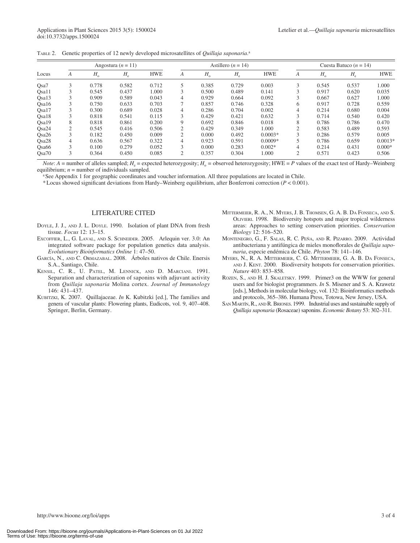|  | TABLE 2. Genetic properties of 12 newly developed microsatellites of Quillaja saponaria. <sup>a</sup> |  |  |  |  |  |  |
|--|-------------------------------------------------------------------------------------------------------|--|--|--|--|--|--|
|--|-------------------------------------------------------------------------------------------------------|--|--|--|--|--|--|

|                   |        |             | Angostura ( $n = 11$ ) |            |                |             | Astillero ( $n = 14$ ) |            |                |             | Cuesta Batuco ( $n = 14$ ) |            |
|-------------------|--------|-------------|------------------------|------------|----------------|-------------|------------------------|------------|----------------|-------------|----------------------------|------------|
| Locus             | A      | $H_{\rm o}$ | $H_{\rm e}$            | <b>HWE</b> | A              | $H_{\rm o}$ | $H_{\rm e}$            | <b>HWE</b> | A              | $H_{\rm o}$ | $H_e$                      | <b>HWE</b> |
| Osa <sub>7</sub>  | 3      | 0.778       | 0.582                  | 0.712      | 5              | 0.385       | 0.729                  | 0.003      | 3              | 0.545       | 0.537                      | 1.000      |
| Qsa11             |        | 0.545       | 0.437                  | 1.000      | 3              | 0.500       | 0.489                  | 0.141      |                | 0.917       | 0.620                      | 0.035      |
| Osa13             |        | 0.909       | 0.589                  | 0.043      | 4              | 0.929       | 0.664                  | 0.092      |                | 0.667       | 0.627                      | 1.000      |
| Osa16             |        | 0.750       | 0.633                  | 0.703      | 7              | 0.857       | 0.746                  | 0.328      | 6              | 0.917       | 0.728                      | 0.559      |
| Osa17             |        | 0.300       | 0.689                  | 0.028      | 4              | 0.286       | 0.704                  | 0.002      | 4              | 0.214       | 0.680                      | 0.004      |
| Osa18             |        | 0.818       | 0.541                  | 0.115      | 3              | 0.429       | 0.421                  | 0.632      | 3              | 0.714       | 0.540                      | 0.420      |
| Qsa19             | 8      | 0.818       | 0.861                  | 0.200      | 9              | 0.692       | 0.846                  | 0.018      | 8              | 0.786       | 0.786                      | 0.470      |
| Osa24             | C      | 0.545       | 0.416                  | 0.506      | 2              | 0.429       | 0.349                  | 1.000      | $\mathcal{L}$  | 0.583       | 0.489                      | 0.593      |
| Osa26             | $\sim$ | 0.182       | 0.450                  | 0.009      | $\overline{c}$ | 0.000       | 0.492                  | $0.0003*$  | 3              | 0.286       | 0.579                      | 0.005      |
| Qsa28             | 4      | 0.636       | 0.567                  | 0.322      | 4              | 0.923       | 0.591                  | $0.0009*$  |                | 0.786       | 0.659                      | $0.0013*$  |
| Osa <sub>66</sub> | 3      | 0.100       | 0.279                  | 0.052      | 3              | 0.000       | 0.283                  | $0.002*$   | 4              | 0.214       | 0.431                      | $0.000*$   |
| Osa70             | 3      | 0.364       | 0.450                  | 0.085      | 2              | 0.357       | 0.304                  | 1.000      | $\overline{2}$ | 0.571       | 0.423                      | 0.506      |

*Note*:  $A$  = number of alleles sampled;  $H_e$  = expected heterozygosity;  $H_o$  = observed heterozygosity; HWE = *P* values of the exact test of Hardy–Weinberg equilibrium;  $n =$  number of individuals sampled.

<sup>a</sup> See Appendix 1 for geographic coordinates and voucher information. All three populations are located in Chile.

\* Locus showed significant deviations from Hardy–Weinberg equilibrium, after Bonferroni correction  $(P < 0.001)$ .

### LITERATURE CITED

- DOYLE, J. J., AND J. L. DOYLE. 1990. Isolation of plant DNA from fresh tissue. *Focus* 12: 13-15.
- EXCOFFIER, L., G. LAVAL, AND S. SCHNEIDER. 2005. Arlequin ver. 3.0: An integrated software package for population genetics data analysis. *Evolutionary Bioinformatics Online* 1: 47-50.
- GARCÍA, N., AND C. ORMAZABAL. 2008. Árboles nativos de Chile. Enersis S.A., Santiago, Chile.
- KENSIL, C. R., U. PATEL, M. LENNICK, AND D. MARCIANI. 1991. Separation and characterization of saponins with adjuvant activity from *Quillaja saponaria* Molina cortex. *Journal of Immunology* 146: 431-437.
- KUBITZKI, K. 2007. Quillajaceae. *In* K. Kubitzki [ed.], The families and genera of vascular plants: Flowering plants, Eudicots, vol. 9, 407–408. Springer, Berlin, Germany.
- MITTERMEIER, R. A., N. MYERS, J. B. THOMSEN, G. A. B. DA FONSECA, AND S. OLIVIERI. 1998. Biodiversity hotspots and major tropical wilderness areas: Approaches to setting conservation priorities. *Conservation Biology* 12: 516-520.
- MONTENEGRO, G., F. SALAS, R. C. PEÑA, AND R. PIZARRO. 2009. Actividad antibacteriana y antifúngica de mieles monoflorales de Quillaja sapo*naria*, especie endémica de Chile. *Phyton* 78: 141-146.
- MYERS, N., R. A. MITTERMEIER, C. G. MITTERMEIER, G. A. B. DA FONSECA, AND J. KENT. 2000. Biodiversity hotspots for conservation priorities. Nature 403: 853-858.
- ROZEN, S., AND H. J. SKALETSKY. 1999. Primer3 on the WWW for general users and for biologist programmers . *In* S. Misener and S. A. Krawetz [eds.], Methods in molecular biology, vol. 132: Bioinformatics methods and protocols, 365–386. Humana Press, Totowa, New Jersey, USA.
- SAN MARTÍN, R., AND R. BRIONES. 1999. Industrial uses and sustainable supply of *Quillaja saponaria* (Rosaceae) saponins. *Economic Botany* 53 : 302 – 311 .